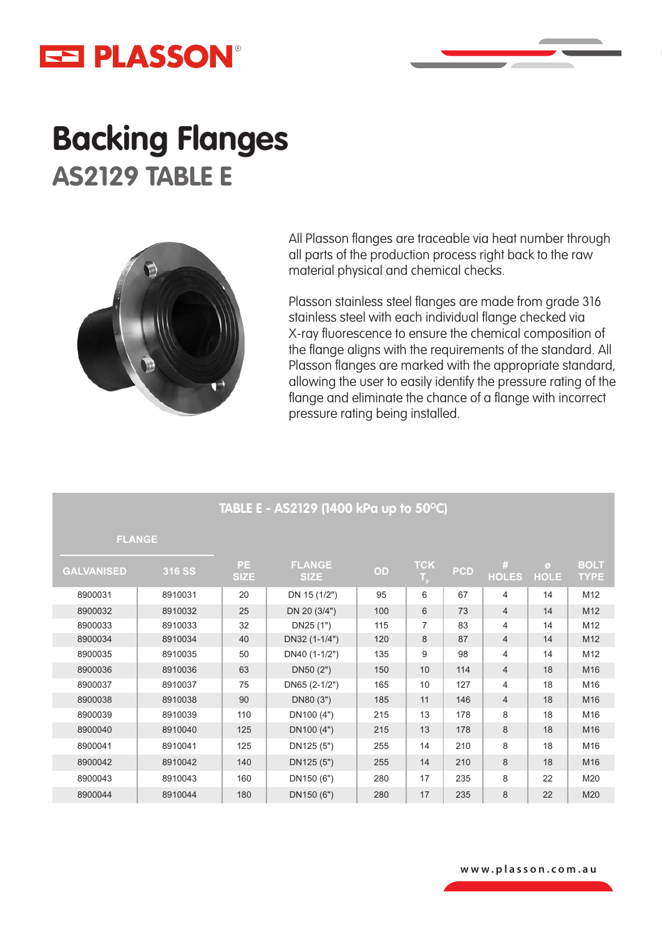### EE PLASSON®



## **Backing Flanges AS2129 TABLE E**



All Plasson flanges are traceable via heat number through all parts of the production process right back to the raw material physical and chemical checks.

Plasson stainless steel flanges are made from grade 316 stainless steel with each individual flange checked via X-ray fluorescence to ensure the chemical composition of the flange aligns with the requirements of the standard. All Plasson flanges are marked with the appropriate standard, allowing the user to easily identify the pressure rating of the flange and eliminate the chance of a flange with incorrect pressure rating being installed.

### **TABLE E - AS2129 (1400 kPa up to 50°C)**

#### **FLANGE**

| <b>GALVANISED</b> | 316 SS  | PE.<br><b>SIZE</b> | <b>FLANGE</b><br><b>SIZE</b> | OD  | <b>TCK</b> | <b>PCD</b> | #<br><b>HOLES</b> | $\sigma$<br><b>HOLE</b> | <b>BOLT</b><br><b>TYPE</b> |
|-------------------|---------|--------------------|------------------------------|-----|------------|------------|-------------------|-------------------------|----------------------------|
| 8900031           | 8910031 | 20                 | DN 15 (1/2")                 | 95  | 6          | 67         | 4                 | 14                      | M12                        |
| 8900032           | 8910032 | 25                 | DN 20 (3/4")                 | 100 | 6          | 73         | $\overline{4}$    | 14                      | M <sub>12</sub>            |
| 8900033           | 8910033 | 32                 | DN25 (1")                    | 115 | 7          | 83         | 4                 | 14                      | M12                        |
| 8900034           | 8910034 | 40                 | DN32 (1-1/4")                | 120 | 8          | 87         | $\overline{4}$    | 14                      | M <sub>12</sub>            |
| 8900035           | 8910035 | 50                 | DN40 (1-1/2")                | 135 | 9          | 98         | 4                 | 14                      | M12                        |
| 8900036           | 8910036 | 63                 | DN50 (2")                    | 150 | 10         | 114        | $\overline{4}$    | 18                      | M16                        |
| 8900037           | 8910037 | 75                 | DN65 (2-1/2")                | 165 | 10         | 127        | 4                 | 18                      | M16                        |
| 8900038           | 8910038 | 90                 | DN80 (3")                    | 185 | 11         | 146        | $\overline{4}$    | 18                      | M16                        |
| 8900039           | 8910039 | 110                | DN100 (4")                   | 215 | 13         | 178        | 8                 | 18                      | M16                        |
| 8900040           | 8910040 | 125                | DN100 (4")                   | 215 | 13         | 178        | 8                 | 18                      | M16                        |
| 8900041           | 8910041 | 125                | DN125 (5")                   | 255 | 14         | 210        | 8                 | 18                      | M16                        |
| 8900042           | 8910042 | 140                | DN125 (5")                   | 255 | 14         | 210        | 8                 | 18                      | M16                        |
| 8900043           | 8910043 | 160                | DN150 (6")                   | 280 | 17         | 235        | 8                 | 22                      | M20                        |
| 8900044           | 8910044 | 180                | DN150 (6")                   | 280 | 17         | 235        | 8                 | 22                      | M20                        |